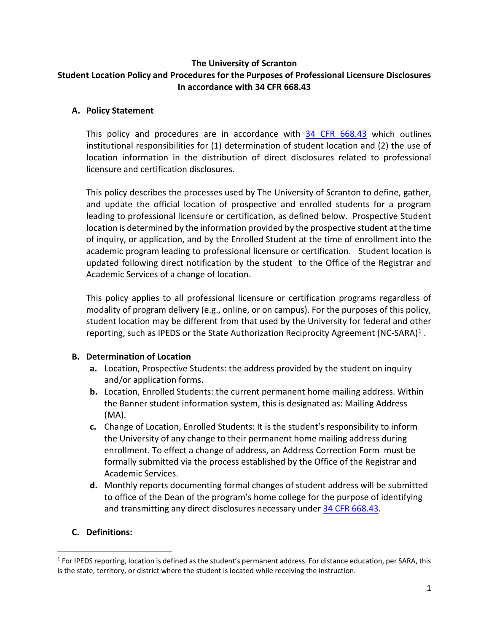### **The University of Scranton Student Location Policy and Procedures for the Purposes of Professional Licensure Disclosures In accordance with 34 CFR 668.43**

### **A. Policy Statement**

This policy and procedures are in accordance with [34 CFR 668.43](https://www.federalregister.gov/documents/2019/11/01/2019-23129/student-assistance-general-provisions-the-secretarys-recognition-of-accrediting-agencies-the) which outlines institutional responsibilities for (1) determination of student location and (2) the use of location information in the distribution of direct disclosures related to professional licensure and certification disclosures.

This policy describes the processes used by The University of Scranton to define, gather, and update the official location of prospective and enrolled students for a program leading to professional licensure or certification, as defined below. Prospective Student location is determined by the information provided by the prospective student at the time of inquiry, or application, and by the Enrolled Student at the time of enrollment into the academic program leading to professional licensure or certification. Student location is updated following direct notification by the student to the Office of the Registrar and Academic Services of a change of location.

This policy applies to all professional licensure or certification programs regardless of modality of program delivery (e.g., online, or on campus). For the purposes of this policy, student location may be different from that used by the University for federal and other reporting, such as IPEDS or the State Authorization Reciprocity Agreement (NC-SARA)<sup>[1](#page-0-0)</sup>.

# **B. Determination of Location**

- **a.** Location, Prospective Students: the address provided by the student on inquiry and/or application forms.
- **b.** Location, Enrolled Students: the current permanent home mailing address. Within the Banner student information system, this is designated as: Mailing Address (MA).
- **c.** Change of Location, Enrolled Students: It is the student's responsibility to inform the University of any change to their permanent home mailing address during enrollment. To effect a change of address, an Address Correction Form must be formally submitted via the process established by the Office of the Registrar and Academic Services.
- **d.** Monthly reports documenting formal changes of student address will be submitted to office of the Dean of the program's home college for the purpose of identifying and transmitting any direct disclosures necessary under [34 CFR 668.43.](https://www.federalregister.gov/documents/2019/11/01/2019-23129/student-assistance-general-provisions-the-secretarys-recognition-of-accrediting-agencies-the)

# **C. Definitions:**

<span id="page-0-0"></span> $1$  For IPEDS reporting, location is defined as the student's permanent address. For distance education, per SARA, this is the state, territory, or district where the student is located while receiving the instruction.